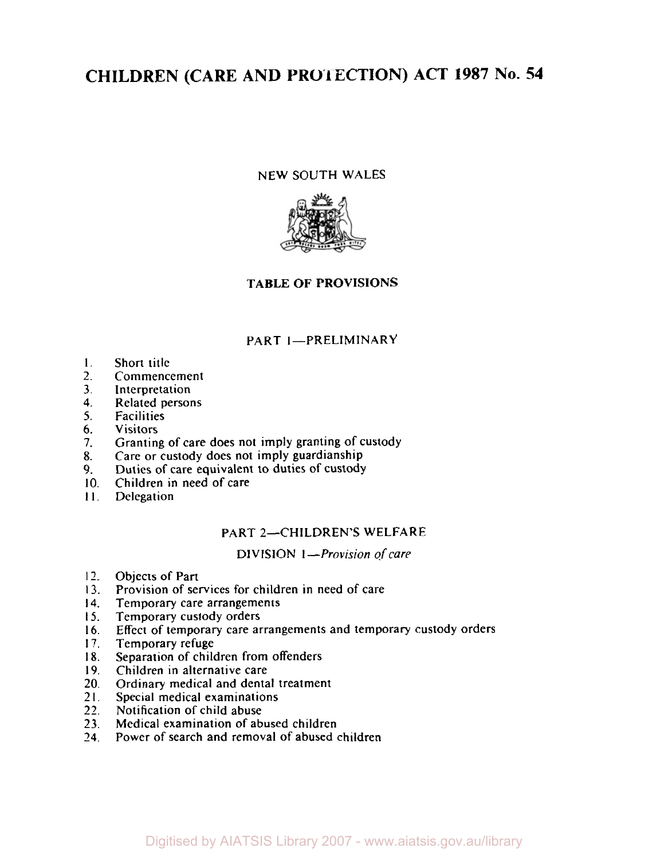# **CHILDREN (CARE AND PROTECTION) ACT 1987 No. 54**

#### NEW SOUTH WALES



## **TABLE OF PROVISIONS**

#### PART I-PRELIMINARY

- **I.**  Short title
- 2. Commencement
- **3.**  Interpretation
- **4.**  Related persons
- **5.**  Facilities
- *6.*  Visitors
- **7.**  Granting of care does not imply granting of custody
- **8.**  Care or custody does not imply guardianship
- 9. Duties **of** care equivalent to duties of custody
- 10. Children in need of care
- **1 I.**  Delegation

#### PART 2-CHILDREN'S WELFARE

DIVISION *I-Provision of care* 

- **12.**  Objects of Part
- **13.**  Provision of services for children in need of care
- **14.**  Temporary care arrangements
- **15.**  Temporary custody orders
- **16.**  Effect of temporary care arrangements and temporary custody orders
- **17.**  Temporary refuge
- **18.**  Separation of children from offenders
- **19.**  Children in alternative care
- 20. Ordinary medical and dental treatment
- **21.**  Special medical examinations
- **22.**  Notification of child abuse
- **23.**  Medical examination of abused children
- **24.**  Power of search and removal of abused children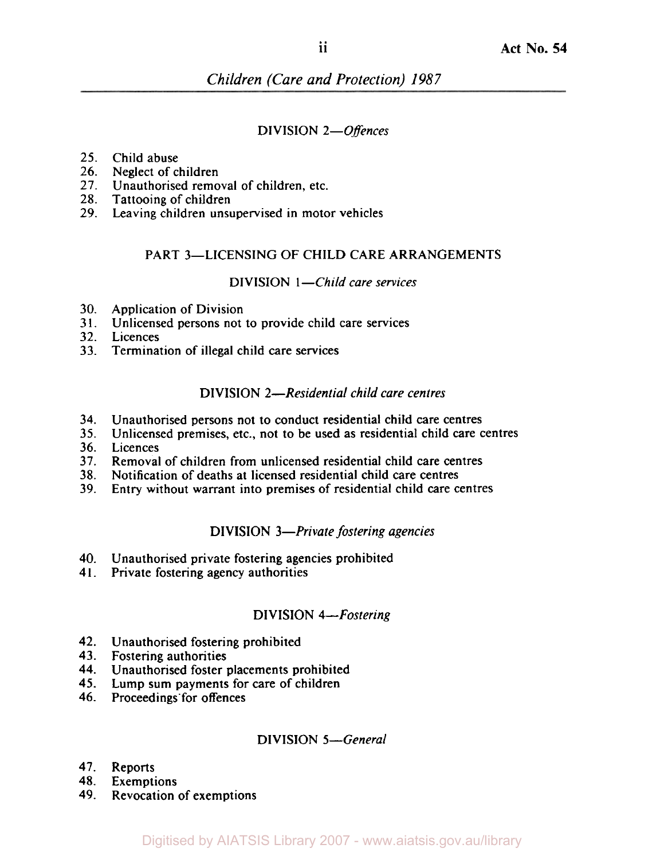## DIVISION *2-Offences*

## *25.*  Child abuse

- **26.**  Neglect of children
- **27.**  Unauthorised removal of children, etc.
- *28.*  Tattooing of children
- **29.**  Leaving children unsupervised in motor vehicles

## PART 3-LICENSING OF CHILD CARE ARRANGEMENTS

#### DIVISION *I-Child care services*

- 30. Application of Division
- 31. Unlicensed persons not to provide child care services
- 32. Licences
- *33.*  Termination of illegal child care services

## DIVISION *2-Residential child care centres*

- 34. Unauthorised persons not to conduct residential child care centres
- *35.*  Unlicensed premises, etc., not to be used as residential child care centres
- 36. Licences
- 37. Removal of children from unlicensed residential child care centres
- *38.*  Notification of deaths at licensed residential child care centres
- 39. Entry without warrant into premises of residential child care centres

#### DIVISION *3-Private fostering agencies*

- *40.*  Unauthorised private fostering agencies prohibited
- 41. Private fostering agency authorities

## DIVISION *4-Fostering*

- *42.*  Unauthorised fostering prohibited
- *43.*  Fostering authorities
- *44.*  Unauthorised foster placements prohibited
- *45.*  Lump sum payments for care of children
- **46.**  Proceedings for offences

## DIVISION *5-General*

- *47.*  Reports
- *48.*  Exemptions
- *49.*  Revocation of exemptions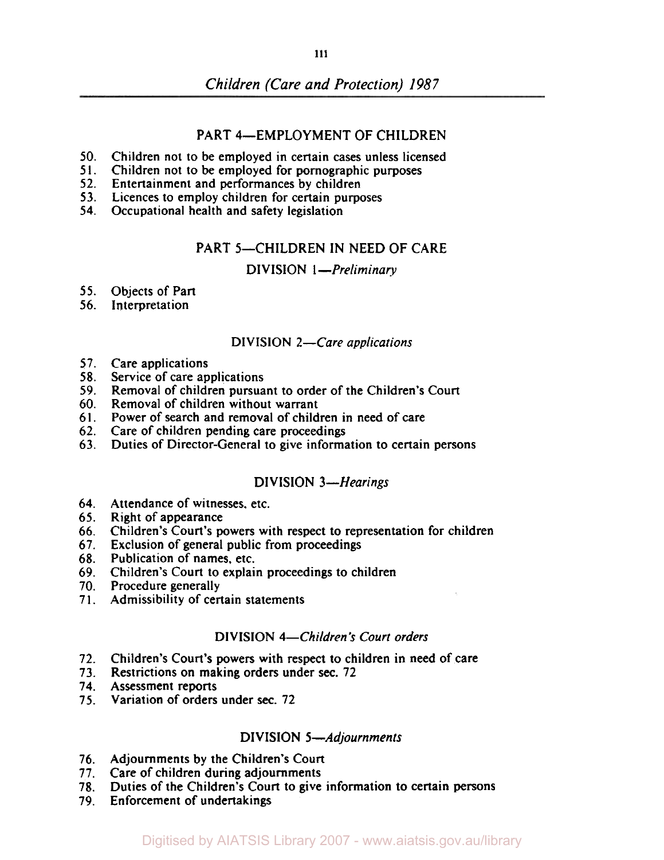## PART 4-EMPLOYMENT OF CHILDREN

- 50. Children not to be employed in certain cases unless licensed
- 51. Children not to be employed for pornographic purposes
- 52. Entertainment and performances by children
- 53. Licences to employ children for certain purposes
- 54. Occupational health and safety legislation

#### PART 5-CHILDREN IN NEED OF CARE

**DIVISION 1-Preliminary** 

- 55. Objects of Part
- 56. Interpretation

#### DIVISION 2-Care applications

- 57. Care applications
- 58. Service of care applications
- 59. Removal of children pursuant to order of the Children's Court
- 60. Removal of children without warrant
- 61. Power of search and removal of children in need of care
- 62. Care **of** children pending care proceedings
- 63. Duties of Director-General to give information to certain persons

#### DIVISION 3-Hearings

- 64. Attendance of witnesses, etc.
- 65. Right of appearance
- 66. Children's Court's powers with respect to representation for children
- 67. Exclusion of general public from proceedings
- 68. Publication of names, etc.
- 69. Children's Court to explain proceedings to children
- 70. Procedure generally
- 71. Admissibility of certain statements

#### DIVISION **4-Children's** Court orders

- 72. Children's Court's powers with respect to children in need of care
- 73. Restrictions on making orders under **sec.** 72
- 74. Assessment reports
- 75. Variation of orders under **sec.** 72

#### DIVISION 5-Adjournments

- 76. Adjournments by the Children's Court
- 77. Care of children during adjournments
- 78. Duties of the Children's Court to give information **to** certain persons
- 79. Enforcement of undertakings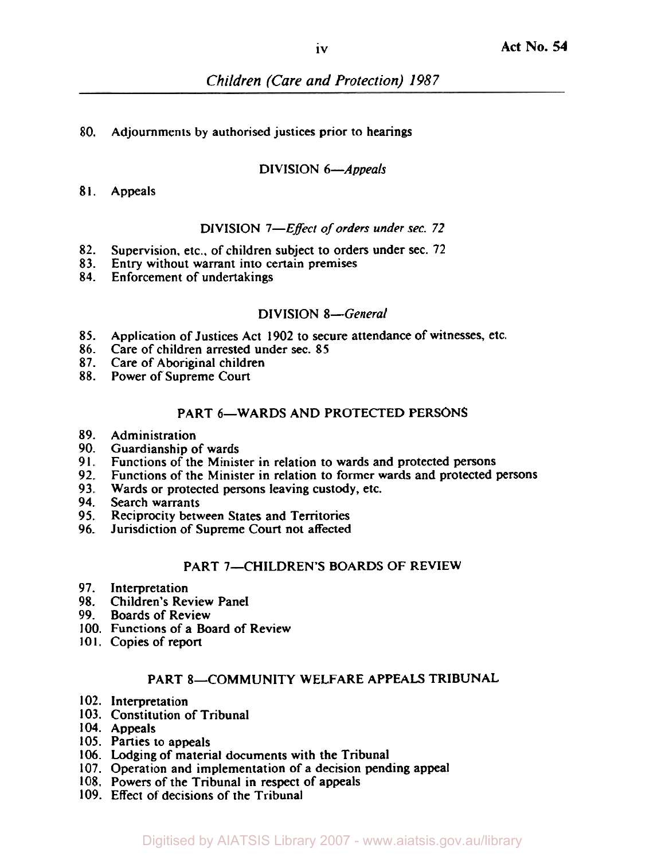## 80. Adjournments by authorised justices prior to hearings

## DIVISION 6-Appeals

## 81. Appeals

## DIVISION 7-Effect of orders under sec. 72

- 82. Supervision. etc., of children subject to orders under sec. 72
- 83. Entry without warrant into certain premises
- 84. Enforcement of undertakings

## DIVISION 8-General

- 85. Application of Justices Act 1902 to secure attendance of witnesses, etc.
- 86. Care of children arrested under sec. 85
- 87. Care of Aboriginal children
- 88. Power of Supreme Court

# PART 6-WARDS AND PROTECTED PERSONS

- 89. Administration
- 90. Guardianship of wards
- 91. Functions of the Minister in relation to wards and protected persons
- 92. Functions of the Minister in relation to former wards and protected persons
- 93. Wards or protected persons leaving custody, etc.
- **94.**  Search warrants
- 95. Reciprocity between States and Territories
- 96. Jurisdiction of Supreme Court not affected

## PART 7-CHILDREN'S BOARDS OF REVIEW

- 97. Interpretation
- *98.*  Children's Review Panel
- 99. Boards of Review
- 100. Functions of a Board of Review
- **101.**  Copies of report

# PART 8-COMMUNITY WELFARE APPEALS TRIBUNAL

- 102. Interpretation
- 103. Constitution of Tribunal
- 104. Appeals
- 105. Parties to appeals
- 106. Lodging of material documents with the Tribunal
- 107. Operation and implementation of a decision pending appeal
- 108. Powers of the Tribunal in respect of appeals
- 109. Effect of decisions of the Tribunal